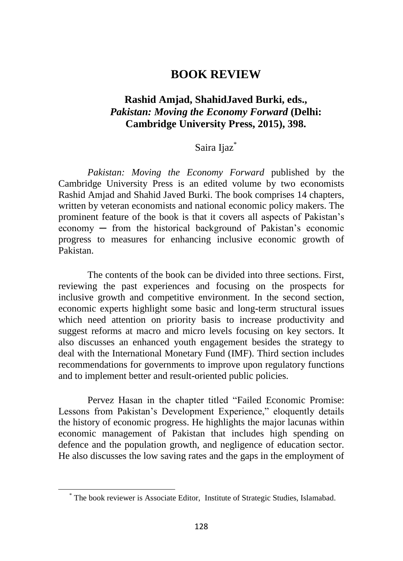## **BOOK REVIEW**

## **Rashid Amjad, ShahidJaved Burki, eds.,** *Pakistan: Moving the Economy Forward* **(Delhi: Cambridge University Press, 2015), 398.**

## Saira Ijaz<sup>\*</sup>

*Pakistan: Moving the Economy Forward* published by the Cambridge University Press is an edited volume by two economists Rashid Amjad and Shahid Javed Burki. The book comprises 14 chapters, written by veteran economists and national economic policy makers. The prominent feature of the book is that it covers all aspects of Pakistan's economy ─ from the historical background of Pakistan's economic progress to measures for enhancing inclusive economic growth of Pakistan.

The contents of the book can be divided into three sections. First, reviewing the past experiences and focusing on the prospects for inclusive growth and competitive environment. In the second section, economic experts highlight some basic and long-term structural issues which need attention on priority basis to increase productivity and suggest reforms at macro and micro levels focusing on key sectors. It also discusses an enhanced youth engagement besides the strategy to deal with the International Monetary Fund (IMF). Third section includes recommendations for governments to improve upon regulatory functions and to implement better and result-oriented public policies.

Pervez Hasan in the chapter titled "Failed Economic Promise: Lessons from Pakistan's Development Experience," eloquently details the history of economic progress. He highlights the major lacunas within economic management of Pakistan that includes high spending on defence and the population growth, and negligence of education sector. He also discusses the low saving rates and the gaps in the employment of

<sup>\*</sup> The book reviewer is Associate Editor, Institute of Strategic Studies, Islamabad.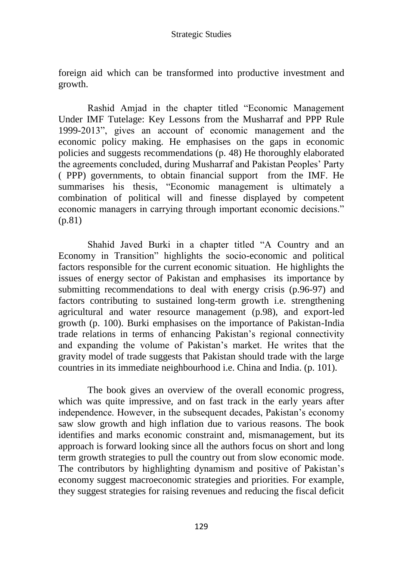foreign aid which can be transformed into productive investment and growth.

Rashid Amjad in the chapter titled "Economic Management Under IMF Tutelage: Key Lessons from the Musharraf and PPP Rule 1999-2013", gives an account of economic management and the economic policy making. He emphasises on the gaps in economic policies and suggests recommendations (p. 48) He thoroughly elaborated the agreements concluded, during Musharraf and Pakistan Peoples' Party ( PPP) governments, to obtain financial support from the IMF. He summarises his thesis, "Economic management is ultimately a combination of political will and finesse displayed by competent economic managers in carrying through important economic decisions." (p.81)

Shahid Javed Burki in a chapter titled "A Country and an Economy in Transition" highlights the socio-economic and political factors responsible for the current economic situation. He highlights the issues of energy sector of Pakistan and emphasises its importance by submitting recommendations to deal with energy crisis (p.96-97) and factors contributing to sustained long-term growth i.e. strengthening agricultural and water resource management (p.98), and export-led growth (p. 100). Burki emphasises on the importance of Pakistan-India trade relations in terms of enhancing Pakistan's regional connectivity and expanding the volume of Pakistan's market. He writes that the gravity model of trade suggests that Pakistan should trade with the large countries in its immediate neighbourhood i.e. China and India. (p. 101).

The book gives an overview of the overall economic progress, which was quite impressive, and on fast track in the early years after independence. However, in the subsequent decades, Pakistan's economy saw slow growth and high inflation due to various reasons. The book identifies and marks economic constraint and, mismanagement, but its approach is forward looking since all the authors focus on short and long term growth strategies to pull the country out from slow economic mode. The contributors by highlighting dynamism and positive of Pakistan's economy suggest macroeconomic strategies and priorities. For example, they suggest strategies for raising revenues and reducing the fiscal deficit